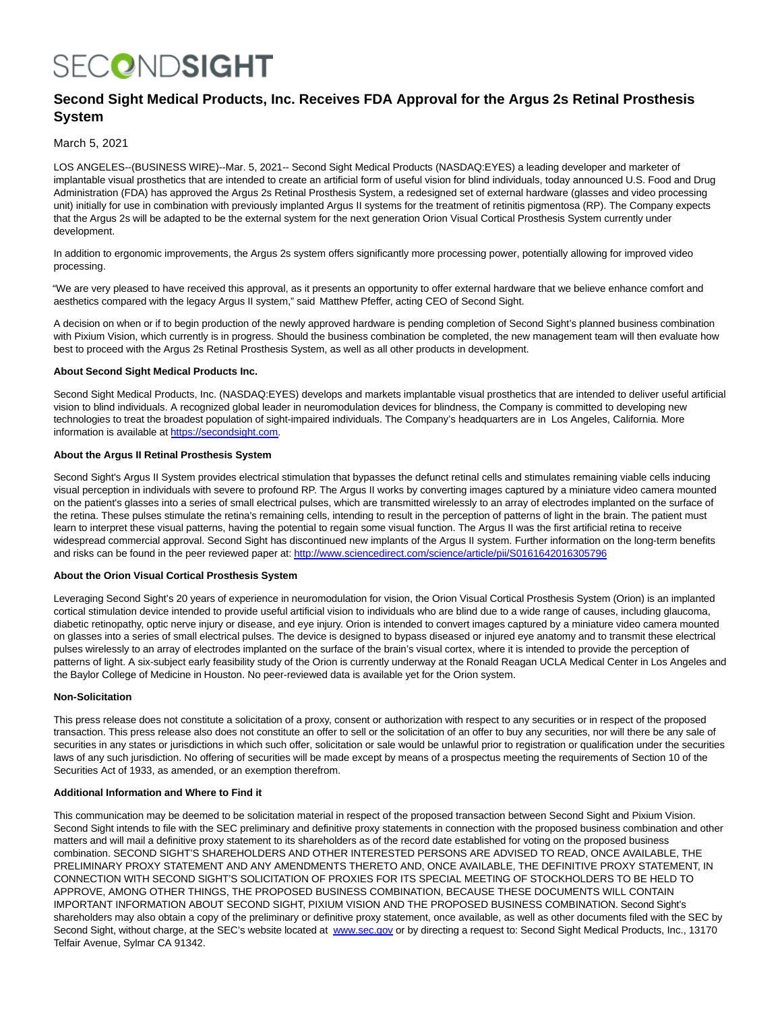# SECONDSIGHT

# **Second Sight Medical Products, Inc. Receives FDA Approval for the Argus 2s Retinal Prosthesis System**

March 5, 2021

LOS ANGELES--(BUSINESS WIRE)--Mar. 5, 2021-- Second Sight Medical Products (NASDAQ:EYES) a leading developer and marketer of implantable visual prosthetics that are intended to create an artificial form of useful vision for blind individuals, today announced U.S. Food and Drug Administration (FDA) has approved the Argus 2s Retinal Prosthesis System, a redesigned set of external hardware (glasses and video processing unit) initially for use in combination with previously implanted Argus II systems for the treatment of retinitis pigmentosa (RP). The Company expects that the Argus 2s will be adapted to be the external system for the next generation Orion Visual Cortical Prosthesis System currently under development.

In addition to ergonomic improvements, the Argus 2s system offers significantly more processing power, potentially allowing for improved video processing.

"We are very pleased to have received this approval, as it presents an opportunity to offer external hardware that we believe enhance comfort and aesthetics compared with the legacy Argus II system," said Matthew Pfeffer, acting CEO of Second Sight.

A decision on when or if to begin production of the newly approved hardware is pending completion of Second Sight's planned business combination with Pixium Vision, which currently is in progress. Should the business combination be completed, the new management team will then evaluate how best to proceed with the Argus 2s Retinal Prosthesis System, as well as all other products in development.

## **About Second Sight Medical Products Inc.**

Second Sight Medical Products, Inc. (NASDAQ:EYES) develops and markets implantable visual prosthetics that are intended to deliver useful artificial vision to blind individuals. A recognized global leader in neuromodulation devices for blindness, the Company is committed to developing new technologies to treat the broadest population of sight-impaired individuals. The Company's headquarters are in Los Angeles, California. More information is available at [https://secondsight.com.](https://cts.businesswire.com/ct/CT?id=smartlink&url=https%3A%2F%2Fsecondsight.com%2F&esheet=52391362&newsitemid=20210305005098&lan=en-US&anchor=https%3A%2F%2Fsecondsight.com&index=1&md5=78e3bb829da4f51bc7ae4c6c52178ba8)

# **About the Argus II Retinal Prosthesis System**

Second Sight's Argus II System provides electrical stimulation that bypasses the defunct retinal cells and stimulates remaining viable cells inducing visual perception in individuals with severe to profound RP. The Argus II works by converting images captured by a miniature video camera mounted on the patient's glasses into a series of small electrical pulses, which are transmitted wirelessly to an array of electrodes implanted on the surface of the retina. These pulses stimulate the retina's remaining cells, intending to result in the perception of patterns of light in the brain. The patient must learn to interpret these visual patterns, having the potential to regain some visual function. The Argus II was the first artificial retina to receive widespread commercial approval. Second Sight has discontinued new implants of the Argus II system. Further information on the long-term benefits and risks can be found in the peer reviewed paper at[: http://www.sciencedirect.com/science/article/pii/S0161642016305796](https://cts.businesswire.com/ct/CT?id=smartlink&url=http%3A%2F%2Fwww.sciencedirect.com%2Fscience%2Farticle%2Fpii%2FS0161642016305796&esheet=52391362&newsitemid=20210305005098&lan=en-US&anchor=http%3A%2F%2Fwww.sciencedirect.com%2Fscience%2Farticle%2Fpii%2FS0161642016305796&index=2&md5=e862085f44231576b453e0fcd7247491)

# **About the Orion Visual Cortical Prosthesis System**

Leveraging Second Sight's 20 years of experience in neuromodulation for vision, the Orion Visual Cortical Prosthesis System (Orion) is an implanted cortical stimulation device intended to provide useful artificial vision to individuals who are blind due to a wide range of causes, including glaucoma, diabetic retinopathy, optic nerve injury or disease, and eye injury. Orion is intended to convert images captured by a miniature video camera mounted on glasses into a series of small electrical pulses. The device is designed to bypass diseased or injured eye anatomy and to transmit these electrical pulses wirelessly to an array of electrodes implanted on the surface of the brain's visual cortex, where it is intended to provide the perception of patterns of light. A six-subject early feasibility study of the Orion is currently underway at the Ronald Reagan UCLA Medical Center in Los Angeles and the Baylor College of Medicine in Houston. No peer-reviewed data is available yet for the Orion system.

### **Non-Solicitation**

This press release does not constitute a solicitation of a proxy, consent or authorization with respect to any securities or in respect of the proposed transaction. This press release also does not constitute an offer to sell or the solicitation of an offer to buy any securities, nor will there be any sale of securities in any states or jurisdictions in which such offer, solicitation or sale would be unlawful prior to registration or qualification under the securities laws of any such jurisdiction. No offering of securities will be made except by means of a prospectus meeting the requirements of Section 10 of the Securities Act of 1933, as amended, or an exemption therefrom.

### **Additional Information and Where to Find it**

This communication may be deemed to be solicitation material in respect of the proposed transaction between Second Sight and Pixium Vision. Second Sight intends to file with the SEC preliminary and definitive proxy statements in connection with the proposed business combination and other matters and will mail a definitive proxy statement to its shareholders as of the record date established for voting on the proposed business combination. SECOND SIGHT'S SHAREHOLDERS AND OTHER INTERESTED PERSONS ARE ADVISED TO READ, ONCE AVAILABLE, THE PRELIMINARY PROXY STATEMENT AND ANY AMENDMENTS THERETO AND, ONCE AVAILABLE, THE DEFINITIVE PROXY STATEMENT, IN CONNECTION WITH SECOND SIGHT'S SOLICITATION OF PROXIES FOR ITS SPECIAL MEETING OF STOCKHOLDERS TO BE HELD TO APPROVE, AMONG OTHER THINGS, THE PROPOSED BUSINESS COMBINATION, BECAUSE THESE DOCUMENTS WILL CONTAIN IMPORTANT INFORMATION ABOUT SECOND SIGHT, PIXIUM VISION AND THE PROPOSED BUSINESS COMBINATION. Second Sight's shareholders may also obtain a copy of the preliminary or definitive proxy statement, once available, as well as other documents filed with the SEC by Second Sight, without charge, at the SEC's website located at [www.sec.gov o](https://cts.businesswire.com/ct/CT?id=smartlink&url=http%3A%2F%2Fwww.sec.gov&esheet=52391362&newsitemid=20210305005098&lan=en-US&anchor=www.sec.gov&index=3&md5=130a63c2aabfed2167db055dca72eda1)r by directing a request to: Second Sight Medical Products, Inc., 13170 Telfair Avenue, Sylmar CA 91342.